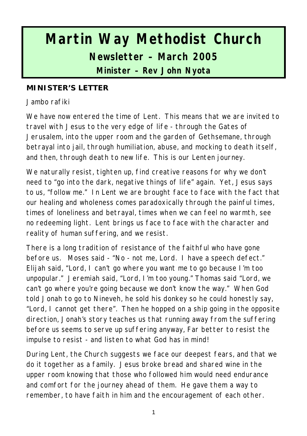# **Martin Way Methodist Church Newsletter – March 2005**

**Minister – Rev John Nyota**

#### **MINISTER'S LETTER**

Jambo rafiki

We have now entered the time of Lent. This means that we are invited to travel with Jesus to the very edge of life - through the Gates of Jerusalem, into the upper room and the garden of Gethsemane, through betrayal into jail, through humiliation, abuse, and mocking to death itself, and then, through death to new life. This is our Lenten journey.

We naturally resist, tighten up, find creative reasons for why we don't need to "go into the dark, negative things of life" again. Yet, Jesus says to us, "follow me." In Lent we are brought face to face with the fact that our healing and wholeness comes paradoxically through the painful times, times of loneliness and betrayal, times when we can feel no warmth, see no redeeming light. Lent brings us face to face with the character and reality of human suffering, and we resist.

There is a long tradition of resistance of the faithful who have gone before us. Moses said - "No - not me, Lord. I have a speech defect." Elijah said, "Lord, I can't go where you want me to go because I'm too unpopular." Jeremiah said, "Lord, I'm too young." Thomas said "Lord, we can't go where you're going because we don't know the way." When God told Jonah to go to Nineveh, he sold his donkey so he could honestly say, "Lord, I cannot get there". Then he hopped on a ship going in the opposite direction, Jonah's story teaches us that running away from the suffering before us seems to serve up suffering anyway, Far better to resist the impulse to resist - and listen to what God has in mind!

During Lent, the Church suggests we face our deepest fears, and that we do it together as a family. Jesus broke bread and shared wine in the upper room knowing that those who followed him would need endurance and comfort for the journey ahead of them. He gave them a way to remember, to have faith in him and the encouragement of each other.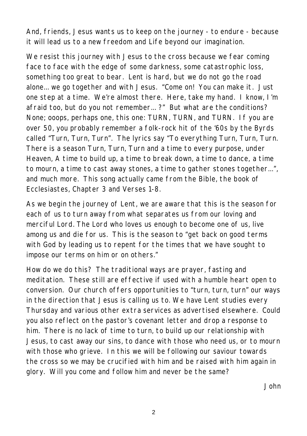And, friends, Jesus wants us to keep on the journey - to endure - because it will lead us to a new freedom and Life beyond our imagination.

We resist this journey with Jesus to the cross because we fear coming face to face with the edge of some darkness, some catastrophic loss, something too great to bear. Lent is hard, but we do not go the road alone... we go together and with Jesus. "Come on! You can make it. Just one step at a time. We're almost there. Here, take my hand. I know, I'm afraid too, but do you not remember... ?" But what are the conditions? None; ooops, perhaps one, this one: TURN, TURN, and TURN. If you are over 50, you probably remember a folk-rock hit of the '60s by the Byrds called "Turn, Turn, Turn". The lyrics say "To everything Turn, Turn, Turn. There is a season Turn, Turn, Turn and a time to every purpose, under Heaven, A time to build up, a time to break down, a time to dance, a time to mourn, a time to cast away stones, a time to gather stones together...", and much more. This song actually came from the Bible, the book of Ecclesiastes, Chapter 3 and Verses 1-8.

As we begin the journey of Lent, we are aware that this is the season for each of us to turn away from what separates us from our loving and merciful Lord. The Lord who loves us enough to become one of us, live among us and die for us. This is the season to "get back on good terms with God by leading us to repent for the times that we have sought to impose our terms on him or on others."

How do we do this? The traditional ways are prayer, fasting and meditation. These still are effective if used with a humble heart open to conversion. Our church offers opportunities to "turn, turn, turn" our ways in the direction that Jesus is calling us to. We have Lent studies every Thursday and various other extra services as advertised elsewhere. Could you also reflect on the pastor's covenant letter and drop a response to him. There is no lack of time to turn, to build up our relationship with Jesus, to cast away our sins, to dance with those who need us, or to mourn with those who grieve. In this we will be following our saviour towards the cross so we may be crucified with him and be raised with him again in glory. Will you come and follow him and never be the same?

*John*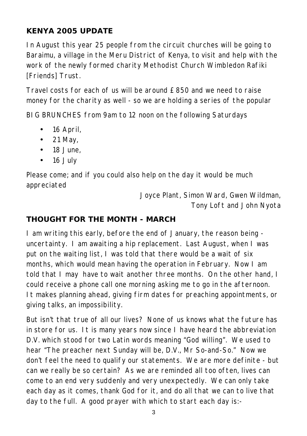## **KENYA 2005 UPDATE**

In August this year 25 people from the circuit churches will be going to Baraimu, a village in the Meru District of Kenya, to visit and help with the work of the newly formed charity Methodist Church Wimbledon Rafiki [Friends] Trust.

Travel costs for each of us will be around £850 and we need to raise money for the charity as well - so we are holding a series of the popular

BIG BRUNCHES from 9am to 12 noon on the following Saturdays

- 16 April,
- $\bullet$  21 May,
- $\bullet$  18 June,
- 16 July

Please come; and if you could also help on the day it would be much appreciated

> *Joyce Plant, Simon Ward, Gwen Wildman, Tony Loft and John Nyota*

#### **THOUGHT FOR THE MONTH - MARCH**

I am writing this early, before the end of January, the reason being uncertainty. I am awaiting a hip replacement. Last August, when I was put on the waiting list, I was told that there would be a wait of six months, which would mean having the operation in February. Now I am told that I may have to wait another three months. On the other hand, I could receive a phone call one morning asking me to go in the afternoon. It makes planning ahead, giving firm dates for preaching appointments, or giving talks, an impossibility.

But isn't that true of all our lives? None of us knows what the future has in store for us. It is many years now since I have heard the abbreviation D.V. which stood for two Latin words meaning "God willing". We used to hear "The preacher next Sunday will be, D.V., Mr So-and-So." Now we don't feel the need to qualify our statements. We are more definite - but can we really be so certain? As we are reminded all too often, lives can come to an end very suddenly and very unexpectedly. We can only take each day as it comes, thank God for it, and do all that we can to live that day to the full. A good prayer with which to start each day is:-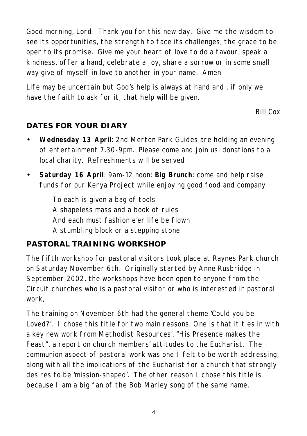Good morning, Lord. Thank you for this new day. Give me the wisdom to see its opportunities, the strength to face its challenges, the grace to be open to its promise. Give me your heart of love to do a favour, speak a kindness, offer a hand, celebrate a joy, share a sorrow or in some small way give of myself in love to another in your name. Amen

Life may be uncertain but God's help is always at hand and , if only we have the faith to ask for it, that help will be given.

*Bill Cox*

## **DATES FOR YOUR DIARY**

- **Wednesday 13 April**: 2nd Merton Park Guides are holding an evening of entertainment 7.30-9pm. Please come and join us: donations to a local charity. Refreshments will be served
- **Saturday 16 April**: 9am-12 noon: **Big Brunch**: come and help raise funds for our Kenya Project while enjoying good food and company

*To each is given a bag of tools A shapeless mass and a book of rules And each must fashion e'er life be flown A stumbling block or a stepping stone*

## **PASTORAL TRAINING WORKSHOP**

The fifth workshop for pastoral visitors took place at Raynes Park church on Saturday November 6th. Originally started by Anne Rusbridge in September 2002, the workshops have been open to anyone from the Circuit churches who is a pastoral visitor or who is interested in pastoral work,

The training on November 6th had the general theme 'Could you be Loved?'. I chose this title for two main reasons, One is that it ties in with a key new work from Methodist Resources'. "His Presence makes the Feast", a report on church members' attitudes to the Eucharist. The communion aspect of pastoral work was one I felt to be worth addressing, along with all the implications of the Eucharist for a church that strongly desires to be 'mission-shaped'. The other reason I chose this title is because I am a big fan of the Bob Marley song of the same name.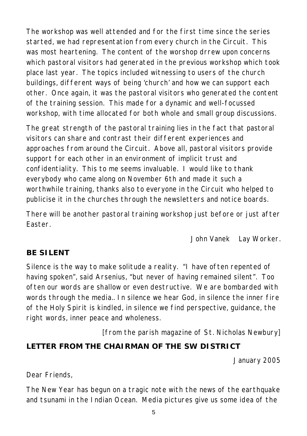The workshop was well attended and for the first time since the series started, we had representation from every church in the Circuit. This was most heartening. The content of the worshop drrew upon concerns which pastoral visitors had generated in the previous workshop which took place last year. The topics included witnessing to users of the church buildings, different ways of being 'church' and how we can support each other. Once again, it was the pastoral visitors who generated the content of the training session. This made for a dynamic and well-focussed workshop, with time allocated for both whole and small group discussions.

The great strength of the pastoral training lies in the fact that pastoral visitors can share and contrast their different experiences and approaches from around the Circuit. Above all, pastoral visitors provide support for each other in an environment of implicit trust and confidentiality. This to me seems invaluable. I would like to thank everybody who came along on November 6th and made it such a worthwhile training, thanks also to everyone in the Circuit who helped to publicise it in the churches through the newsletters and notice boards.

There will be another pastoral training workshop just before or just after Easter.

*John Vanek Lay Worker.*

## **BE SILENT**

Silence is the way to make solitude a reality. "I have often repented of having spoken", said Arsenius, "but never of having remained silent". Too often our words are shallow or even destructive. We are bombarded with words through the media.. In silence we hear God, in silence the inner fire of the Holy Spirit is kindled, in silence we find perspective, guidance, the right words, inner peace and wholeness.

*[from the parish magazine of St. Nicholas Newbury]*

## **LETTER FROM THE CHAIRMAN OF THE SW DISTRICT**

January 2005

Dear Friends,

The New Year has begun on a tragic note with the news of the earthquake and tsunami in the Indian Ocean. Media pictures give us some idea of the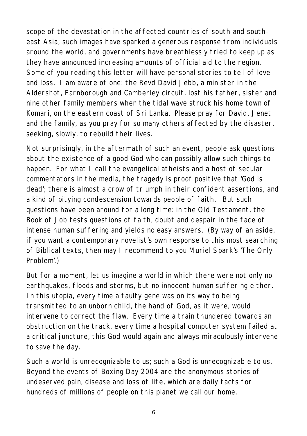scope of the devastation in the affected countries of south and southeast Asia; such images have sparked a generous response from individuals around the world, and governments have breathlessly tried to keep up as they have announced increasing amounts of official aid to the region. Some of you reading this letter will have personal stories to tell of love and loss. I am aware of one: the Revd David Jebb, a minister in the Aldershot, Farnborough and Camberley circuit, lost his father, sister and nine other family members when the tidal wave struck his home town of Komari, on the eastern coast of Sri Lanka. Please pray for David, Jenet and the family, as you pray for so many others affected by the disaster, seeking, slowly, to rebuild their lives.

Not surprisingly, in the aftermath of such an event, people ask questions about the existence of a good God who can possibly allow such things to happen. For what I call the evangelical atheists and a host of secular commentators in the media, the tragedy is proof positive that 'God is dead'; there is almost a crow of triumph in their confident assertions, and a kind of pitying condescension towards people of faith. But such questions have been around for a long time: in the Old Testament, the Book of Job tests questions of faith, doubt and despair in the face of intense human suffering and yields no easy answers. (By way of an aside, if you want a contemporary novelist's own response to this most searching of Biblical texts, then may I recommend to you Muriel Spark's 'The Only Problem'.)

But for a moment, let us imagine a world in which there were not only no earthquakes, floods and storms, but no innocent human suffering either. In this utopia, every time a faulty gene was on its way to being transmitted to an unborn child, the hand of God, as it were, would intervene to correct the flaw. Every time a train thundered towards an obstruction on the track, every time a hospital computer system failed at a critical juncture, this God would again and always miraculously intervene to save the day.

Such a world is unrecognizable to us; such a God is unrecognizable to us. Beyond the events of Boxing Day 2004 are the anonymous stories of undeserved pain, disease and loss of life, which are daily facts for hundreds of millions of people on this planet we call our home.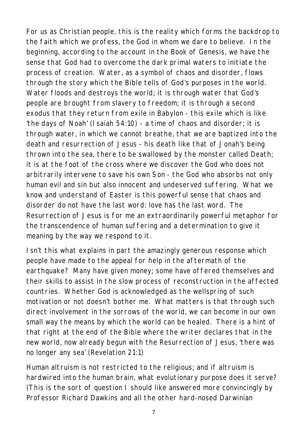For us as Christian people, this is the reality which forms the backdrop to the faith which we profess, the God in whom we dare to believe. In the beginning, according to the account in the Book of Genesis, we have the sense that God had to overcome the dark primal waters to initiate the process of creation. Water, as a symbol of chaos and disorder, flows through the story which the Bible tells of God's purposes in the world. Water floods and destroys the world; it is through water that God's people are brought from slavery to freedom; it is through a second exodus that they return from exile in Babylon - this exile which is like 'the days of Noah' (Isaiah 54:10) - a time of chaos and disorder; it is through water, in which we cannot breathe, that we are baptized into the death and resurrection of Jesus - his death like that of Jonah's being thrown into the sea, there to be swallowed by the monster called Death; it is at the foot of the cross where we discover the God who does not arbitrarily intervene to save his own Son - the God who absorbs not only human evil and sin but also innocent and undeserved suffering. What we know and understand of Easter is this powerful sense that chaos and disorder do not have the last word: love has the last word. The Resurrection of Jesus is for me an extraordinarily powerful metaphor for the transcendence of human suffering and a determination to give it meaning by the way we respond to it.

Isn't this what explains in part the amazingly generous response which people have made to the appeal for help in the aftermath of the earthquake? Many have given money; some have offered themselves and their skills to assist in the slow process of reconstruction in the affected countries. Whether God is acknowledged as the wellspring of such motivation or not doesn't bother me. What matters is that through such direct involvement in the sorrows of the world, we can become in our own small way the means by which the world can be healed. There is a hint of that right at the end of the Bible where the writer declares that in the new world, now already begun with the Resurrection of Jesus, 'there was no longer any sea' (Revelation 21:1)

Human altruism is not restricted to the religious; and if altruism is hardwired into the human brain, what evolutionary purpose does it serve? (This is the sort of question I should like answered more convincingly by Professor Richard Dawkins and all the other hard-nosed Darwinian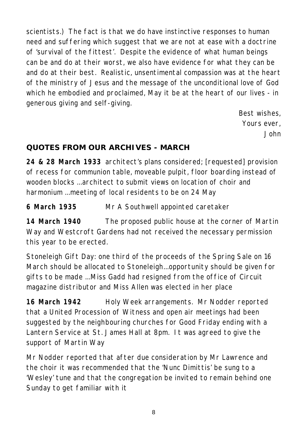scientists.) The fact is that we do have instinctive responses to human need and suffering which suggest that we are not at ease with a doctrine of 'survival of the fittest'. Despite the evidence of what human beings can be and do at their worst, we also have evidence for what they can be and do at their best. Realistic, unsentimental compassion was at the heart of the ministry of Jesus and the message of the unconditional love of God which he embodied and proclaimed, May it be at the heart of our lives - in generous giving and self-giving.

> *Best wishes, Yours ever, John*

#### **QUOTES FROM OUR ARCHIVES - MARCH**

**24 & 28 March 1933** architect's plans considered; [requested] provision of recess for communion table, moveable pulpit, floor boarding instead of wooden blocks ...architect to submit views on location of choir and harmonium ...meeting of local residents to be on 24 May

**6 March 1935** Mr A Southwell appointed caretaker

**14 March 1940** The proposed public house at the corner of Martin Way and Westcroft Gardens had not received the necessary permission this year to be erected.

Stoneleigh Gift Day: one third of the proceeds of the Spring Sale on 16 March should be allocated to Stoneleigh...opportunity should be given for gifts to be made ...Miss Gadd had resigned from the office of Circuit magazine distributor and Miss Allen was elected in her place

**16 March 1942** Holy Week arrangements. Mr Nodder reported that a United Procession of Witness and open air meetings had been suggested by the neighbouring churches for Good Friday ending with a Lantern Service at St. James Hall at 8pm. It was agreed to give the support of Martin Way

Mr Nodder reported that after due consideration by Mr Lawrence and the choir it was recommended that the 'Nunc Dimittis' be sung to a 'Wesley' tune and that the congregation be invited to remain behind one Sunday to get familiar with it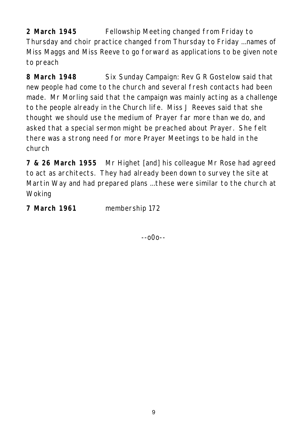**2 March 1945** Fellowship Meeting changed from Friday to Thursday and choir practice changed from Thursday to Friday ...names of Miss Maggs and Miss Reeve to go forward as applications to be given note to preach

**8 March 1948** Six Sunday Campaign: Rev G R Gostelow said that new people had come to the church and several fresh contacts had been made. Mr Morling said that the campaign was mainly acting as a challenge to the people already in the Church life. Miss J Reeves said that she thought we should use the medium of Prayer far more than we do, and asked that a special sermon might be preached about Prayer. She felt there was a strong need for more Prayer Meetings to be hald in the church

**7 & 26 March 1955** Mr Highet [and] his colleague Mr Rose had agreed to act as architects. They had already been down to survey the site at Martin Way and had prepared plans ...these were similar to the church at Woking

**7 March 1961** membership 172

--o0o--